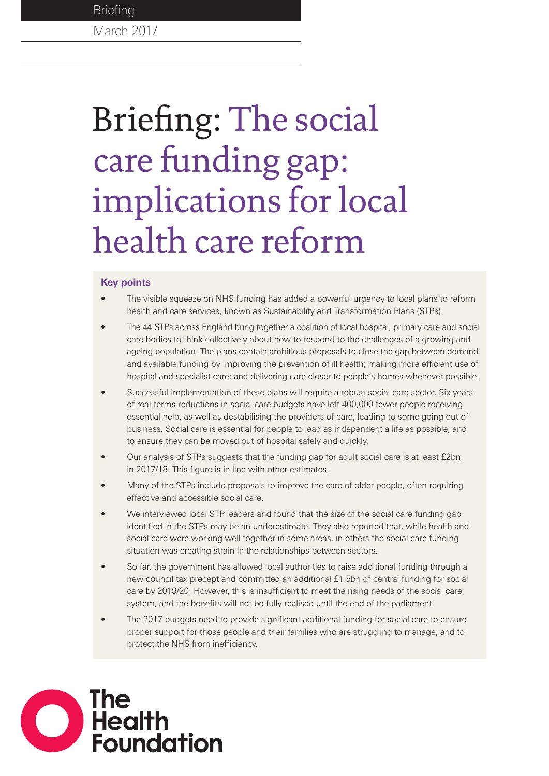# March 2017 **Briefing**

# Briefing: The social care funding gap: implications for local health care reform

### **Key points**

- The visible squeeze on NHS funding has added a powerful urgency to local plans to reform health and care services, known as Sustainability and Transformation Plans (STPs).
- The 44 STPs across England bring together a coalition of local hospital, primary care and social care bodies to think collectively about how to respond to the challenges of a growing and ageing population. The plans contain ambitious proposals to close the gap between demand and available funding by improving the prevention of ill health; making more efficient use of hospital and specialist care; and delivering care closer to people's homes whenever possible.
- Successful implementation of these plans will require a robust social care sector. Six years of real-terms reductions in social care budgets have left 400,000 fewer people receiving essential help, as well as destabilising the providers of care, leading to some going out of business. Social care is essential for people to lead as independent a life as possible, and to ensure they can be moved out of hospital safely and quickly.
- Our analysis of STPs suggests that the funding gap for adult social care is at least £2bn in 2017/18. This figure is in line with other estimates.
- Many of the STPs include proposals to improve the care of older people, often requiring effective and accessible social care.
- We interviewed local STP leaders and found that the size of the social care funding gap identified in the STPs may be an underestimate. They also reported that, while health and social care were working well together in some areas, in others the social care funding situation was creating strain in the relationships between sectors.
- So far, the government has allowed local authorities to raise additional funding through a new council tax precept and committed an additional £1.5bn of central funding for social care by 2019/20. However, this is insufficient to meet the rising needs of the social care system, and the benefits will not be fully realised until the end of the parliament.
- The 2017 budgets need to provide significant additional funding for social care to ensure proper support for those people and their families who are struggling to manage, and to protect the NHS from inefficiency.

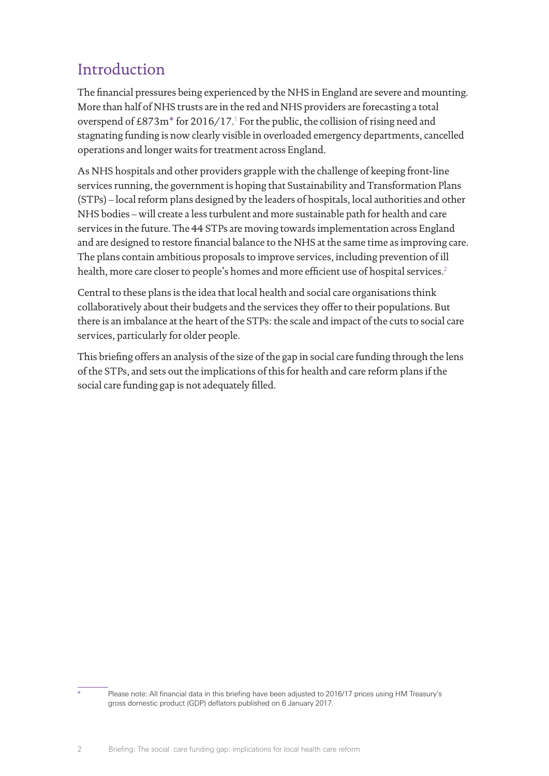# Introduction

The financial pressures being experienced by the NHS in England are severe and mounting. More than half of NHS trusts are in the red and NHS providers are forecasting a total overspend of £873m<sup>\*</sup> for 20[1](#page-13-0)6/17.<sup>1</sup> For the public, the collision of rising need and stagnating funding is now clearly visible in overloaded emergency departments, cancelled operations and longer waits for treatment across England.

As NHS hospitals and other providers grapple with the challenge of keeping front-line services running, the government is hoping that Sustainability and Transformation Plans (STPs) – local reform plans designed by the leaders of hospitals, local authorities and other NHS bodies – will create a less turbulent and more sustainable path for health and care services in the future. The 44 STPs are moving towards implementation across England and are designed to restore financial balance to the NHS at the same time as improving care. The plans contain ambitious proposals to improve services, including prevention of ill health, more care closer to people's homes and more efficient use of hospital services.<sup>[2](#page-13-1)</sup>

Central to these plans is the idea that local health and social care organisations think collaboratively about their budgets and the services they offer to their populations. But there is an imbalance at the heart of the STPs: the scale and impact of the cuts to social care services, particularly for older people.

This briefing offers an analysis of the size of the gap in social care funding through the lens of the STPs, and sets out the implications of this for health and care reform plans if the social care funding gap is not adequately filled.

Please note: All financial data in this briefing have been adjusted to 2016/17 prices using HM Treasury's gross domestic product (GDP) deflators published on 6 January 2017.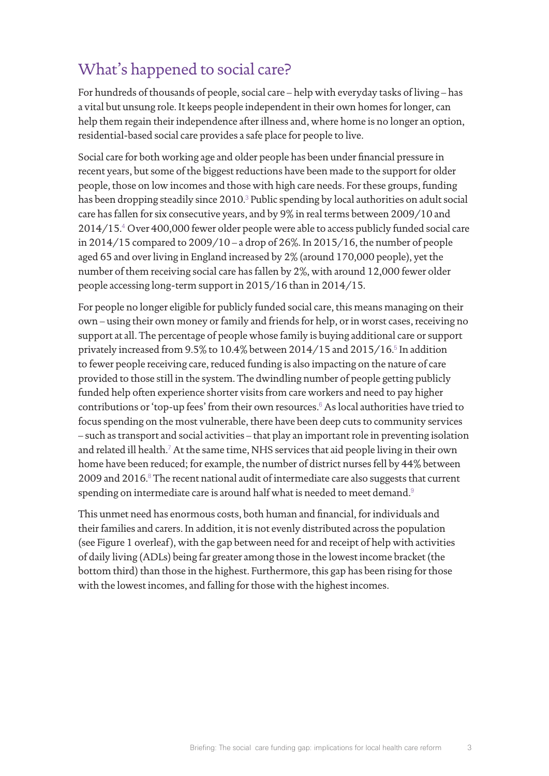# What's happened to social care?

For hundreds of thousands of people, social care – help with everyday tasks of living – has a vital but unsung role. It keeps people independent in their own homes for longer, can help them regain their independence after illness and, where home is no longer an option, residential-based social care provides a safe place for people to live.

Social care for both working age and older people has been under financial pressure in recent years, but some of the biggest reductions have been made to the support for older people, those on low incomes and those with high care needs. For these groups, funding has been dropping steadily since 2010.<sup>[3](#page-13-2)</sup> Public spending by local authorities on adult social care has fallen for six consecutive years, and by 9% in real terms between 2009/10 and 2014/15.[4](#page-13-3) Over 400,000 fewer older people were able to access publicly funded social care in 2014/15 compared to 2009/10 – a drop of 26%. In 2015/16, the number of people aged 65 and over living in England increased by 2% (around 170,000 people), yet the number of them receiving social care has fallen by 2%, with around 12,000 fewer older people accessing long-term support in 2015/16 than in 2014/15.

For people no longer eligible for publicly funded social care, this means managing on their own – using their own money or family and friends for help, or in worst cases, receiving no support at all. The percentage of people whose family is buying additional care or support privately increased from 9.[5](#page-13-4)% to 10.4% between 2014/15 and 2015/16.<sup>5</sup> In addition to fewer people receiving care, reduced funding is also impacting on the nature of care provided to those still in the system. The dwindling number of people getting publicly funded help often experience shorter visits from care workers and need to pay higher contributions or 'top-up fees' from their own resources.<sup>[6](#page-13-5)</sup> As local authorities have tried to focus spending on the most vulnerable, there have been deep cuts to community services – such as transport and social activities – that play an important role in preventing isolation and related ill health.<sup>[7](#page-13-6)</sup> At the same time, NHS services that aid people living in their own home have been reduced; for example, the number of district nurses fell by 44% between 2009 and 2016. $8$  The recent national audit of intermediate care also suggests that current spending on intermediate care is around half what is needed to meet demand.<sup>[9](#page-13-8)</sup>

This unmet need has enormous costs, both human and financial, for individuals and their families and carers. In addition, it is not evenly distributed across the population (see Figure 1 overleaf), with the gap between need for and receipt of help with activities of daily living (ADLs) being far greater among those in the lowest income bracket (the bottom third) than those in the highest. Furthermore, this gap has been rising for those with the lowest incomes, and falling for those with the highest incomes.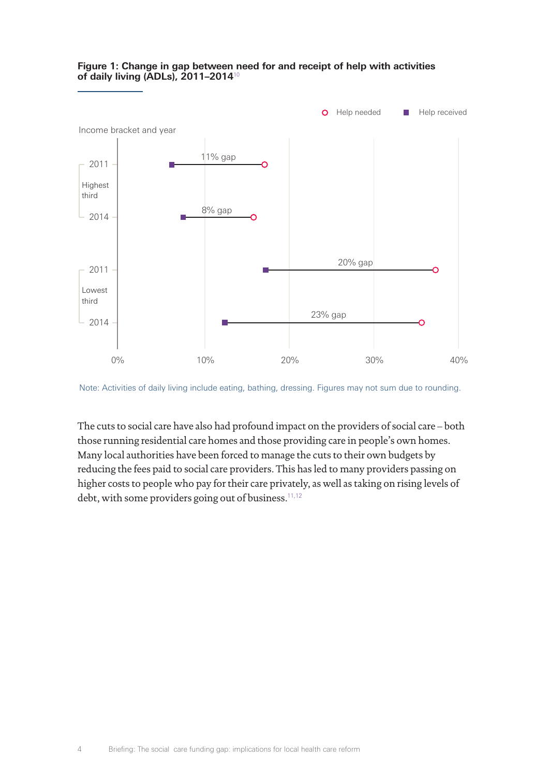

### **Figure 1: Change in gap between need for and receipt of help with activities of daily living (ADLs), 2011–2014**[10](#page-13-9)

Note: Activities of daily living include eating, bathing, dressing. Figures may not sum due to rounding.

The cuts to social care have also had profound impact on the providers of social care – both those running residential care homes and those providing care in people's own homes. Many local authorities have been forced to manage the cuts to their own budgets by reducing the fees paid to social care providers. This has led to many providers passing on higher costs to people who pay for their care privately, as well as taking on rising levels of debt, with some providers going out of business.<sup>[11](#page-13-10)[,12](#page-13-11)</sup>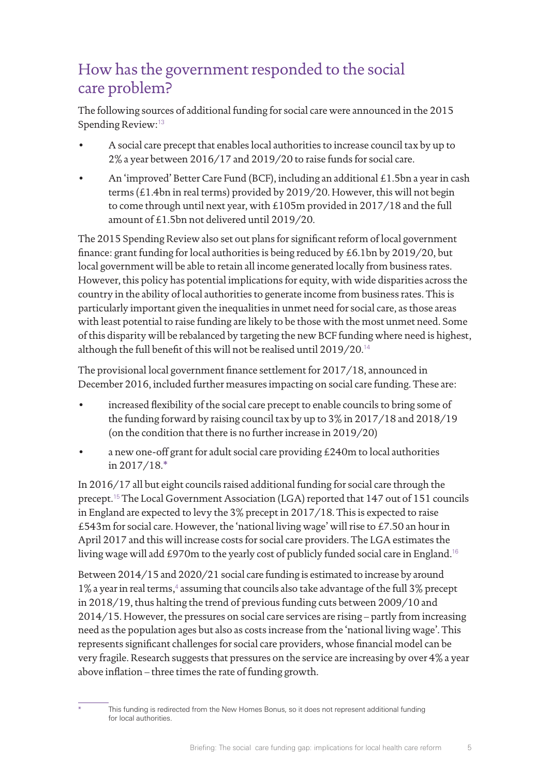# How has the government responded to the social care problem?

The following sources of additional funding for social care were announced in the 2015 Spending Review:[13](#page-13-12)

- A social care precept that enables local authorities to increase council tax by up to 2% a year between 2016/17 and 2019/20 to raise funds for social care.
- An 'improved' Better Care Fund (BCF), including an additional £1.5bn a year in cash terms (£1.4bn in real terms) provided by 2019/20. However, this will not begin to come through until next year, with £105m provided in 2017/18 and the full amount of £1.5bn not delivered until 2019/20.

The 2015 Spending Review also set out plans for significant reform of local government finance: grant funding for local authorities is being reduced by £6.1bn by 2019/20, but local government will be able to retain all income generated locally from business rates. However, this policy has potential implications for equity, with wide disparities across the country in the ability of local authorities to generate income from business rates. This is particularly important given the inequalities in unmet need for social care, as those areas with least potential to raise funding are likely to be those with the most unmet need. Some of this disparity will be rebalanced by targeting the new BCF funding where need is highest, although the full benefit of this will not be realised until 2019/20.[14](#page-13-13)

The provisional local government finance settlement for 2017/18, announced in December 2016, included further measures impacting on social care funding. These are:

- increased flexibility of the social care precept to enable councils to bring some of the funding forward by raising council tax by up to 3% in 2017/18 and 2018/19 (on the condition that there is no further increase in 2019/20)
- a new one-off grant for adult social care providing £240m to local authorities in 2017/18.\*

In 2016/17 all but eight councils raised additional funding for social care through the precept.[15](#page-13-14) The Local Government Association (LGA) reported that 147 out of 151 councils in England are expected to levy the 3% precept in 2017/18. This is expected to raise £543m for social care. However, the 'national living wage' will rise to £7.50 an hour in April 2017 and this will increase costs for social care providers. The LGA estimates the living wage will add £970m to the yearly cost of publicly funded social care in England.<sup>[16](#page-13-15)</sup>

Between 2014/15 and 2020/21 social care funding is estimated to increase by around 1% a year in real terms,<sup>[4](#page-13-3)</sup> assuming that councils also take advantage of the full 3% precept in 2018/19, thus halting the trend of previous funding cuts between 2009/10 and 2014/15. However, the pressures on social care services are rising – partly from increasing need as the population ages but also as costs increase from the 'national living wage'. This represents significant challenges for social care providers, whose financial model can be very fragile. Research suggests that pressures on the service are increasing by over 4% a year above inflation – three times the rate of funding growth.

This funding is redirected from the New Homes Bonus, so it does not represent additional funding for local authorities.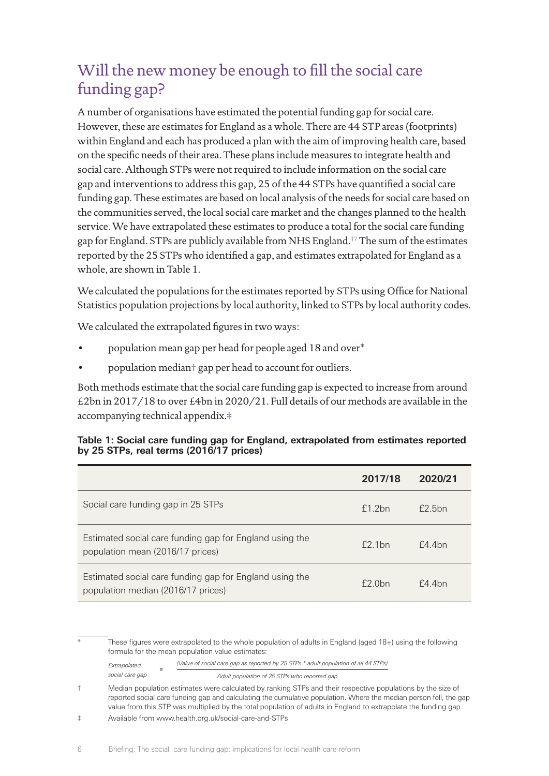# Will the new money be enough to fill the social care funding gap?

A number of organisations have estimated the potential funding gap for social care. However, these are estimates for England as a whole. There are 44 STP areas (footprints) within England and each has produced a plan with the aim of improving health care, based on the specific needs of their area. These plans include measures to integrate health and social care. Although STPs were not required to include information on the social care gap and interventions to address this gap, 25 of the 44 STPs have quantified a social care funding gap. These estimates are based on local analysis of the needs for social care based on the communities served, the local social care market and the changes planned to the health service. We have extrapolated these estimates to produce a total for the social care funding gap for England. STPs are publicly available from NHS England.[17](#page-13-16) The sum of the estimates reported by the 25 STPs who identified a gap, and estimates extrapolated for England as a whole, are shown in Table 1.

We calculated the populations for the estimates reported by STPs using Office for National Statistic[s population projections by local authority,](https://www.ons.gov.uk/peoplepopulationandcommunity/populationandmigration/populationprojections/datasets/localauthoritiesinenglandz1) linked to STPs by local authority codes.

We calculated the extrapolated figures in two ways:

- population mean gap per head for people aged 18 and over\*
- population median† gap per head to account for outliers.

Both methods estimate that the social care funding gap is expected to increase from around £2bn in 2017/18 to over £4bn in 2020/21. Full details of our methods are available in the accompanying technical appendix.‡

| Table 1: Social care funding gap for England, extrapolated from estimates reported |  |  |
|------------------------------------------------------------------------------------|--|--|
| by 25 STPs, real terms (2016/17 prices)                                            |  |  |

|                                                                                               | 2017/18       | 2020/21 |
|-----------------------------------------------------------------------------------------------|---------------|---------|
| Social care funding gap in 25 STPs                                                            | f1.2bn        | f2.5bn  |
| Estimated social care funding gap for England using the<br>population mean (2016/17 prices)   | $f$ 2 1 $h$ n | f4.4bn  |
| Estimated social care funding gap for England using the<br>population median (2016/17 prices) | f2.0bn        | f4.4bn  |

These figures were extrapolated to the whole population of adults in England (aged 18+) using the following formula for the mean population value estimates:

*Extrapolated (Value of social care gap as reported by 25 STPs \* adult population of all 44 STPs)* **<sup>=</sup>** *social care gap*

*Adult population of 25 STPs who reported gap*

<sup>†</sup> Median population estimates were calculated by ranking STPs and their respective populations by the size of reported social care funding gap and calculating the cumulative population. Where the median person fell, the gap value from this STP was multiplied by the total population of adults in England to extrapolate the funding gap.

<sup>‡</sup> Available from www[.health.org.uk/social-care-and-STPs](http://www.health.org.uk/social-care-and-STPs)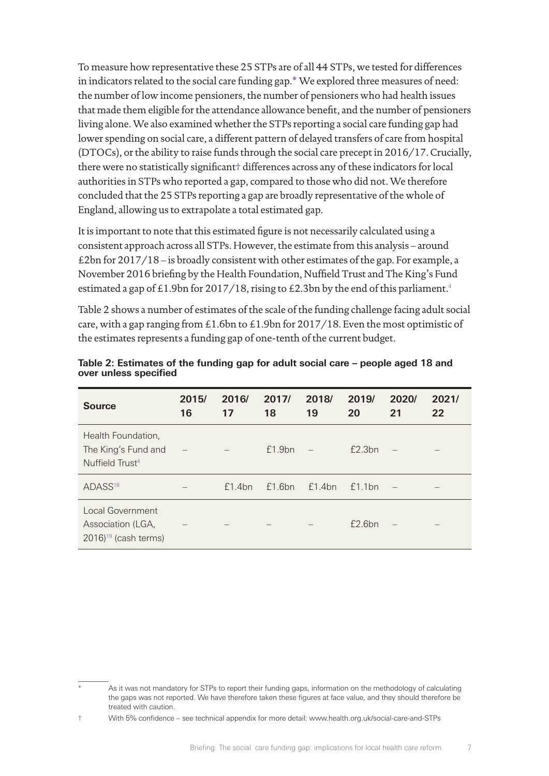To measure how representative these 25 STPs are of all 44 STPs, we tested for differences in indicators related to the social care funding gap.\* We explored three measures of need: the number of low income pensioners, the number of pensioners who had health issues that made them eligible for the attendance allowance benefit, and the number of pensioners living alone. We also examined whether the STPs reporting a social care funding gap had lower spending on social care, a different pattern of delayed transfers of care from hospital (DTOCs), or the ability to raise funds through the social care precept in 2016/17. Crucially, there were no statistically significant† differences across any of these indicators for local authorities in STPs who reported a gap, compared to those who did not. We therefore concluded that the 25 STPs reporting a gap are broadly representative of the whole of England, allowing us to extrapolate a total estimated gap.

It is important to note that this estimated figure is not necessarily calculated using a consistent approach across all STPs. However, the estimate from this analysis – around £2bn for 2017/18 – is broadly consistent with other estimates of the gap. For example, a November 2016 briefing by the Health Foundation, Nuffield Trust and The King's Fund estimated a gap of £1.9bn for 2017/18, rising to £2.3bn by the end of this parliament.<sup>[4](#page-13-3)</sup>

Table 2 shows a number of estimates of the scale of the funding challenge facing adult social care, with a gap ranging from £1.6bn to £1.9bn for 2017/18. Even the most optimistic of the estimates represents a funding gap of one-tenth of the current budget.

| <b>Source</b>                                                                     | 2015/<br>16 | 2016/<br>17 | 2017/<br>18 | 2018/<br>19 | 2019/<br>20 | 2020/<br>21 | 2021/<br>22 |
|-----------------------------------------------------------------------------------|-------------|-------------|-------------|-------------|-------------|-------------|-------------|
| Health Foundation,<br>The King's Fund and<br>Nuffield Trust <sup>4</sup>          |             |             | f1.9bn      |             | E2.3bn      |             |             |
| ADASS <sup>18</sup>                                                               |             | f1.4bn      | f1.6bn      | f1.4bn      | f1.1bn      |             |             |
| <b>Local Government</b><br>Association (LGA,<br>$2016$ <sup>19</sup> (cash terms) |             |             |             |             | E2.6bn      |             |             |

**Table 2: Estimates of the funding gap for adult social care – people aged 18 and over unless specified**

As it was not mandatory for STPs to report their funding gaps, information on the methodology of calculating the gaps was not reported. We have therefore taken these figures at face value, and they should therefore be treated with caution.

<sup>†</sup> With 5% confidence – see technical appendix for more detail: www.[health.org.uk/social-care-and-STPs](http://www.health.org.uk/social-care-and-STPs)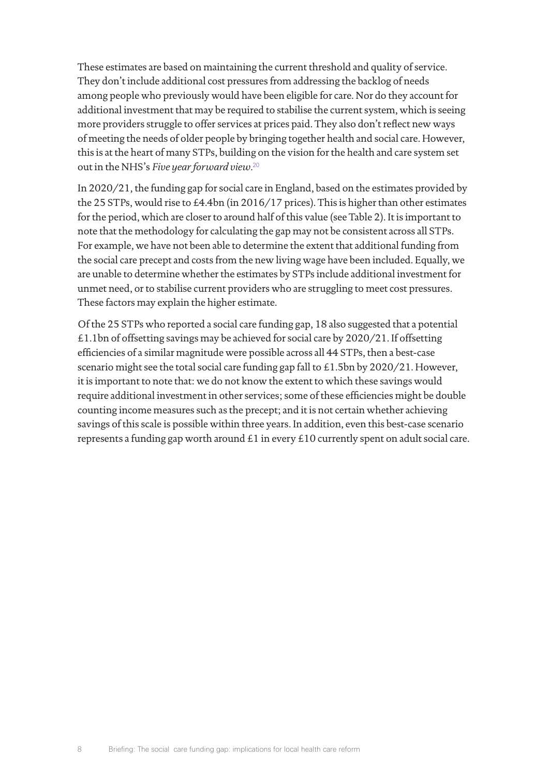These estimates are based on maintaining the current threshold and quality of service. They don't include additional cost pressures from addressing the backlog of needs among people who previously would have been eligible for care. Nor do they account for additional investment that may be required to stabilise the current system, which is seeing more providers struggle to offer services at prices paid. They also don't reflect new ways of meeting the needs of older people by bringing together health and social care. However, this is at the heart of many STPs, building on the vision for the health and care system set out in the NHS's *Five year forward view*. [20](#page-13-19)

In 2020/21, the funding gap for social care in England, based on the estimates provided by the 25 STPs, would rise to £4.4bn (in 2016/17 prices). This is higher than other estimates for the period, which are closer to around half of this value (see Table 2). It is important to note that the methodology for calculating the gap may not be consistent across all STPs. For example, we have not been able to determine the extent that additional funding from the social care precept and costs from the new living wage have been included. Equally, we are unable to determine whether the estimates by STPs include additional investment for unmet need, or to stabilise current providers who are struggling to meet cost pressures. These factors may explain the higher estimate.

Of the 25 STPs who reported a social care funding gap, 18 also suggested that a potential £1.1bn of offsetting savings may be achieved for social care by 2020/21. If offsetting efficiencies of a similar magnitude were possible across all 44 STPs, then a best-case scenario might see the total social care funding gap fall to £1.5bn by 2020/21. However, it is important to note that: we do not know the extent to which these savings would require additional investment in other services; some of these efficiencies might be double counting income measures such as the precept; and it is not certain whether achieving savings of this scale is possible within three years. In addition, even this best-case scenario represents a funding gap worth around £1 in every £10 currently spent on adult social care.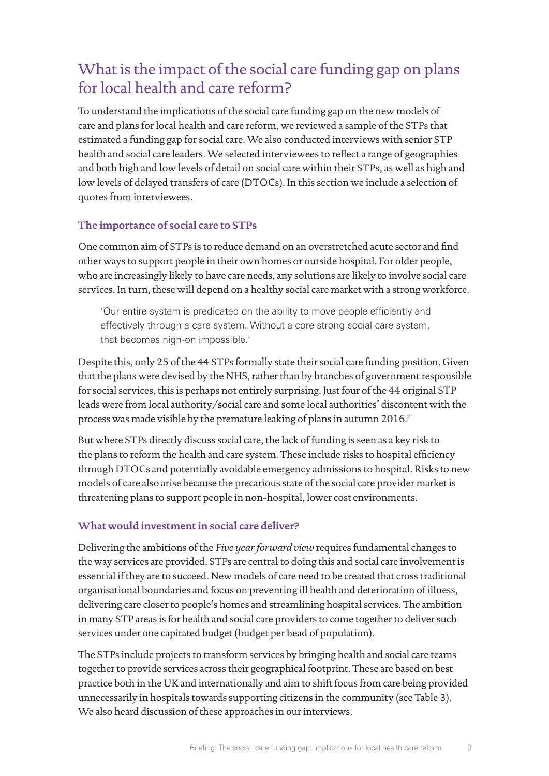# What is the impact of the social care funding gap on plans for local health and care reform?

To understand the implications of the social care funding gap on the new models of care and plans for local health and care reform, we reviewed a sample of the STPs that estimated a funding gap for social care. We also conducted interviews with senior STP health and social care leaders. We selected interviewees to reflect a range of geographies and both high and low levels of detail on social care within their STPs, as well as high and low levels of delayed transfers of care (DTOCs). In this section we include a selection of quotes from interviewees.

### **The importance of social care to STPs**

One common aim of STPs is to reduce demand on an overstretched acute sector and find other ways to support people in their own homes or outside hospital. For older people, who are increasingly likely to have care needs, any solutions are likely to involve social care services. In turn, these will depend on a healthy social care market with a strong workforce.

'Our entire system is predicated on the ability to move people efficiently and effectively through a care system. Without a core strong social care system, that becomes nigh-on impossible.'

Despite this, only 25 of the 44 STPs formally state their social care funding position. Given that the plans were devised by the NHS, rather than by branches of government responsible for social services, this is perhaps not entirely surprising. Just four of the 44 original STP leads were from local authority/social care and some local authorities' discontent with the process was made visible by the premature leaking of plans in autumn 2016.[21](#page-13-20)

But where STPs directly discuss social care, the lack of funding is seen as a key risk to the plans to reform the health and care system. These include risks to hospital efficiency through DTOCs and potentially avoidable emergency admissions to hospital. Risks to new models of care also arise because the precarious state of the social care provider market is threatening plans to support people in non-hospital, lower cost environments.

## **What would investment in social care deliver?**

Delivering the ambitions of the *Five year forward view* requires fundamental changes to the way services are provided. STPs are central to doing this and social care involvement is essential if they are to succeed. New models of care need to be created that cross traditional organisational boundaries and focus on preventing ill health and deterioration of illness, delivering care closer to people's homes and streamlining hospital services. The ambition in many STP areas is for health and social care providers to come together to deliver such services under one capitated budget (budget per head of population).

The STPs include projects to transform services by bringing health and social care teams together to provide services across their geographical footprint. These are based on best practice both in the UK and internationally and aim to shift focus from care being provided unnecessarily in hospitals towards supporting citizens in the community (see Table 3). We also heard discussion of these approaches in our interviews.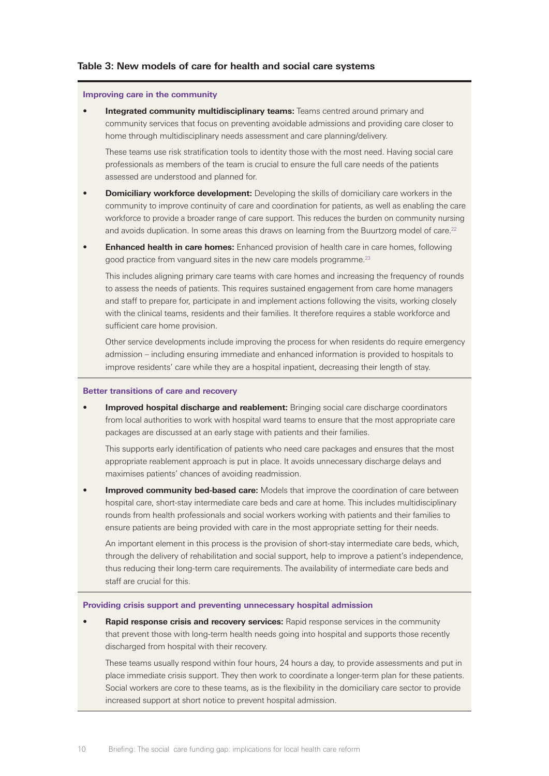#### **Improving care in the community**

**Integrated community multidisciplinary teams:** Teams centred around primary and community services that focus on preventing avoidable admissions and providing care closer to home through multidisciplinary needs assessment and care planning/delivery.

These teams use risk stratification tools to identity those with the most need. Having social care professionals as members of the team is crucial to ensure the full care needs of the patients assessed are understood and planned for.

- **Domiciliary workforce development:** Developing the skills of domiciliary care workers in the community to improve continuity of care and coordination for patients, as well as enabling the care workforce to provide a broader range of care support. This reduces the burden on community nursing and avoids duplication. In some areas this draws on learning from the Buurtzorg model of care.<sup>[22](#page-13-21)</sup>
- **Enhanced health in care homes:** Enhanced provision of health care in care homes, following good practice from vanguard sites in the new care models programme.<sup>23</sup>

This includes aligning primary care teams with care homes and increasing the frequency of rounds to assess the needs of patients. This requires sustained engagement from care home managers and staff to prepare for, participate in and implement actions following the visits, working closely with the clinical teams, residents and their families. It therefore requires a stable workforce and sufficient care home provision.

Other service developments include improving the process for when residents do require emergency admission – including ensuring immediate and enhanced information is provided to hospitals to improve residents' care while they are a hospital inpatient, decreasing their length of stay.

#### **Better transitions of care and recovery**

• **Improved hospital discharge and reablement:** Bringing social care discharge coordinators from local authorities to work with hospital ward teams to ensure that the most appropriate care packages are discussed at an early stage with patients and their families.

This supports early identification of patients who need care packages and ensures that the most appropriate reablement approach is put in place. It avoids unnecessary discharge delays and maximises patients' chances of avoiding readmission.

**Improved community bed-based care:** Models that improve the coordination of care between hospital care, short-stay intermediate care beds and care at home. This includes multidisciplinary rounds from health professionals and social workers working with patients and their families to ensure patients are being provided with care in the most appropriate setting for their needs.

An important element in this process is the provision of short-stay intermediate care beds, which, through the delivery of rehabilitation and social support, help to improve a patient's independence, thus reducing their long-term care requirements. The availability of intermediate care beds and staff are crucial for this.

#### **Providing crisis support and preventing unnecessary hospital admission**

• **Rapid response crisis and recovery services:** Rapid response services in the community that prevent those with long-term health needs going into hospital and supports those recently discharged from hospital with their recovery.

These teams usually respond within four hours, 24 hours a day, to provide assessments and put in place immediate crisis support. They then work to coordinate a longer-term plan for these patients. Social workers are core to these teams, as is the flexibility in the domiciliary care sector to provide increased support at short notice to prevent hospital admission.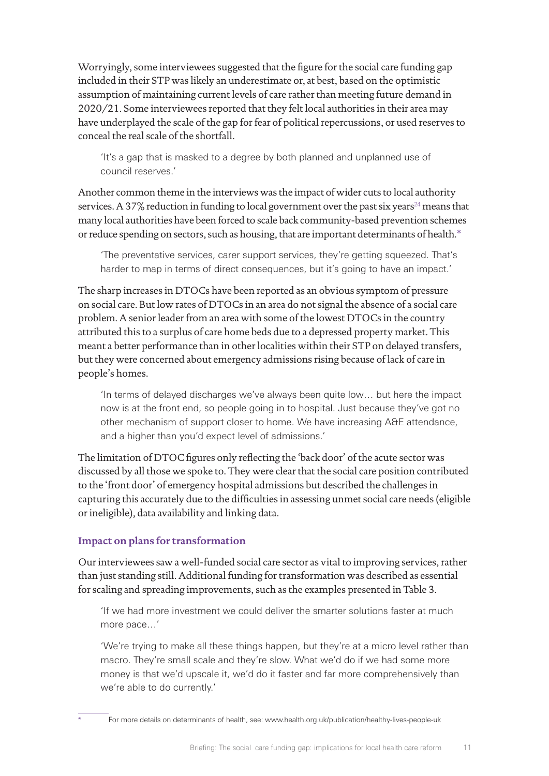Worryingly, some interviewees suggested that the figure for the social care funding gap included in their STP was likely an underestimate or, at best, based on the optimistic assumption of maintaining current levels of care rather than meeting future demand in 2020/21. Some interviewees reported that they felt local authorities in their area may have underplayed the scale of the gap for fear of political repercussions, or used reserves to conceal the real scale of the shortfall.

'It's a gap that is masked to a degree by both planned and unplanned use of council reserves.'

Another common theme in the interviews was the impact of wider cuts to local authority services. A 37% reduction in funding to local government over the past six years<sup>[24](#page-13-23)</sup> means that many local authorities have been forced to scale back community-based prevention schemes or reduce spending on sectors, such as housing, that are important determinants of health.\*

'The preventative services, carer support services, they're getting squeezed. That's harder to map in terms of direct consequences, but it's going to have an impact.'

The sharp increases in DTOCs have been reported as an obvious symptom of pressure on social care. But low rates of DTOCs in an area do not signal the absence of a social care problem. A senior leader from an area with some of the lowest DTOCs in the country attributed this to a surplus of care home beds due to a depressed property market. This meant a better performance than in other localities within their STP on delayed transfers, but they were concerned about emergency admissions rising because of lack of care in people's homes.

'In terms of delayed discharges we've always been quite low… but here the impact now is at the front end, so people going in to hospital. Just because they've got no other mechanism of support closer to home. We have increasing A&E attendance, and a higher than you'd expect level of admissions.'

The limitation of DTOC figures only reflecting the 'back door' of the acute sector was discussed by all those we spoke to. They were clear that the social care position contributed to the 'front door' of emergency hospital admissions but described the challenges in capturing this accurately due to the difficulties in assessing unmet social care needs (eligible or ineligible), data availability and linking data.

## **Impact on plans for transformation**

Our interviewees saw a well-funded social care sector as vital to improving services, rather than just standing still. Additional funding for transformation was described as essential for scaling and spreading improvements, such as the examples presented in Table 3.

'If we had more investment we could deliver the smarter solutions faster at much more pace…'

'We're trying to make all these things happen, but they're at a micro level rather than macro. They're small scale and they're slow. What we'd do if we had some more money is that we'd upscale it, we'd do it faster and far more comprehensively than we're able to do currently.'

For more details on determinants of health, see: www[.health.org.uk/publication/healthy-lives-people-uk](http://www.health.org.uk/publication/healthy-lives-people-uk)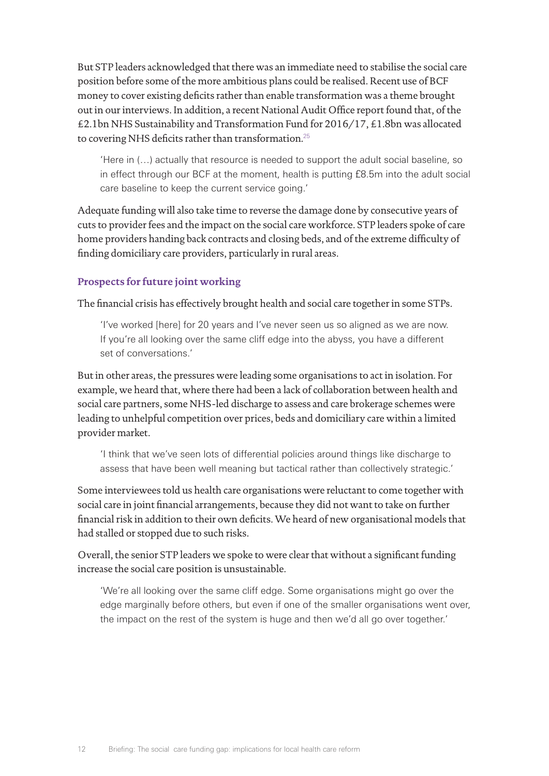But STP leaders acknowledged that there was an immediate need to stabilise the social care position before some of the more ambitious plans could be realised. Recent use of BCF money to cover existing deficits rather than enable transformation was a theme brought out in our interviews. In addition, a recent National Audit Office report found that, of the £2.1bn NHS Sustainability and Transformation Fund for 2016/17, £1.8bn was allocated to covering NHS deficits rather than transformation.<sup>[25](#page-13-24)</sup>

'Here in (…) actually that resource is needed to support the adult social baseline, so in effect through our BCF at the moment, health is putting £8.5m into the adult social care baseline to keep the current service going.'

Adequate funding will also take time to reverse the damage done by consecutive years of cuts to provider fees and the impact on the social care workforce. STP leaders spoke of care home providers handing back contracts and closing beds, and of the extreme difficulty of finding domiciliary care providers, particularly in rural areas.

## **Prospects for future joint working**

The financial crisis has effectively brought health and social care together in some STPs.

'I've worked [here] for 20 years and I've never seen us so aligned as we are now. If you're all looking over the same cliff edge into the abyss, you have a different set of conversations.'

But in other areas, the pressures were leading some organisations to act in isolation. For example, we heard that, where there had been a lack of collaboration between health and social care partners, some NHS-led discharge to assess and care brokerage schemes were leading to unhelpful competition over prices, beds and domiciliary care within a limited provider market.

'I think that we've seen lots of differential policies around things like discharge to assess that have been well meaning but tactical rather than collectively strategic.'

Some interviewees told us health care organisations were reluctant to come together with social care in joint financial arrangements, because they did not want to take on further financial risk in addition to their own deficits. We heard of new organisational models that had stalled or stopped due to such risks.

Overall, the senior STP leaders we spoke to were clear that without a significant funding increase the social care position is unsustainable.

'We're all looking over the same cliff edge. Some organisations might go over the edge marginally before others, but even if one of the smaller organisations went over, the impact on the rest of the system is huge and then we'd all go over together.'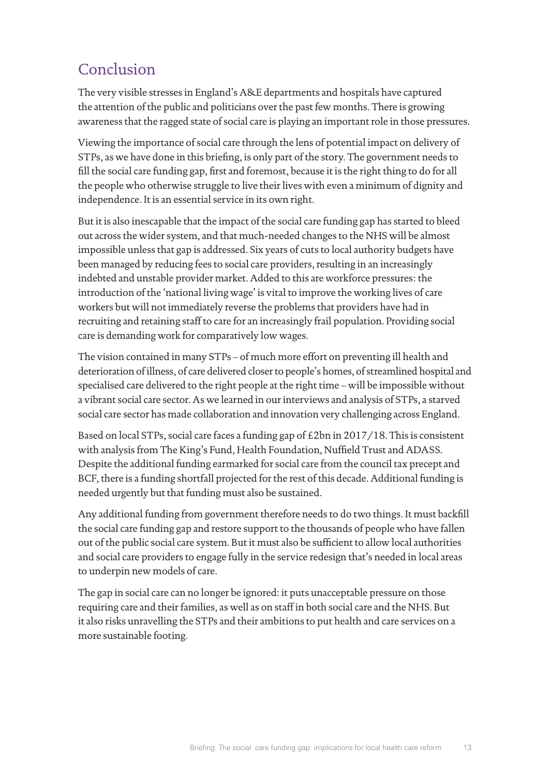# Conclusion

The very visible stresses in England's A&E departments and hospitals have captured the attention of the public and politicians over the past few months. There is growing awareness that the ragged state of social care is playing an important role in those pressures.

Viewing the importance of social care through the lens of potential impact on delivery of STPs, as we have done in this briefing, is only part of the story. The government needs to fill the social care funding gap, first and foremost, because it is the right thing to do for all the people who otherwise struggle to live their lives with even a minimum of dignity and independence. It is an essential service in its own right.

But it is also inescapable that the impact of the social care funding gap has started to bleed out across the wider system, and that much-needed changes to the NHS will be almost impossible unless that gap is addressed. Six years of cuts to local authority budgets have been managed by reducing fees to social care providers, resulting in an increasingly indebted and unstable provider market. Added to this are workforce pressures: the introduction of the 'national living wage' is vital to improve the working lives of care workers but will not immediately reverse the problems that providers have had in recruiting and retaining staff to care for an increasingly frail population. Providing social care is demanding work for comparatively low wages.

The vision contained in many STPs – of much more effort on preventing ill health and deterioration of illness, of care delivered closer to people's homes, of streamlined hospital and specialised care delivered to the right people at the right time – will be impossible without a vibrant social care sector. As we learned in our interviews and analysis of STPs, a starved social care sector has made collaboration and innovation very challenging across England.

Based on local STPs, social care faces a funding gap of £2bn in 2017/18. This is consistent with analysis from The King's Fund, Health Foundation, Nuffield Trust and ADASS. Despite the additional funding earmarked for social care from the council tax precept and BCF, there is a funding shortfall projected for the rest of this decade. Additional funding is needed urgently but that funding must also be sustained.

Any additional funding from government therefore needs to do two things. It must backfill the social care funding gap and restore support to the thousands of people who have fallen out of the public social care system. But it must also be sufficient to allow local authorities and social care providers to engage fully in the service redesign that's needed in local areas to underpin new models of care.

The gap in social care can no longer be ignored: it puts unacceptable pressure on those requiring care and their families, as well as on staff in both social care and the NHS. But it also risks unravelling the STPs and their ambitions to put health and care services on a more sustainable footing.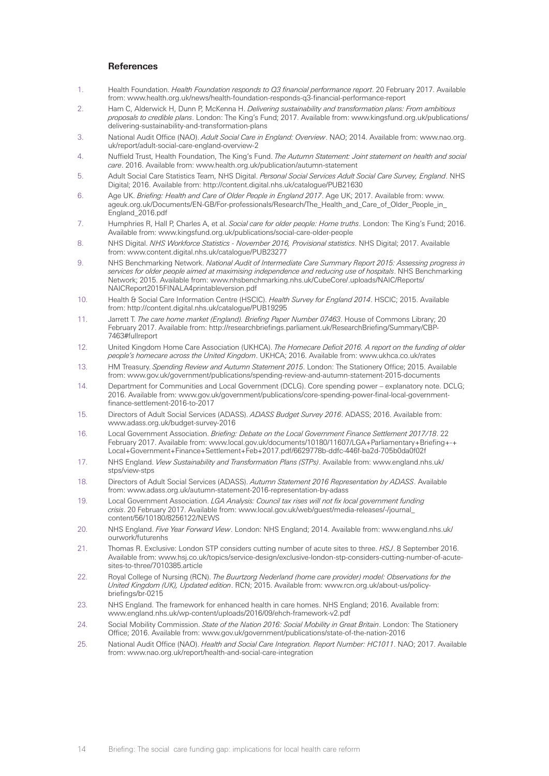#### <span id="page-13-1"></span><span id="page-13-0"></span>**References**

- 1. Health Foundation. *Health Foundation responds to Q3 financial performance report*. 20 February 2017. Available from: [www.health.org.uk/news/health-foundation-responds-q3-financial-performance-report](http://www.health.org.uk/news/health-foundation-responds-q3-financial-performance-report)
- 2. Ham C, Alderwick H, Dunn P, McKenna H. *Delivering sustainability and transformation plans: From ambitious proposals to credible plans*. London: The King's Fund; 2017. Available from: [www.kingsfund.org.uk/publications/](http://www.kingsfund.org.uk/publications/delivering-sustainability-and-transformation-plans ) [delivering-sustainability-and-transformation-plans](http://www.kingsfund.org.uk/publications/delivering-sustainability-and-transformation-plans )
- <span id="page-13-2"></span>3. National Audit Office (NAO). *Adult Social Care in England: Overview*. NAO; 2014. Available from: [www.nao.org.](http://www.nao.org.uk/report/adult-social-care-england-overview-2) [uk/report/adult-social-care-england-overview-2](http://www.nao.org.uk/report/adult-social-care-england-overview-2)
- <span id="page-13-3"></span>4. Nuffield Trust, Health Foundation, The King's Fund. *The Autumn Statement: Joint statement on health and social care*. 2016. Available from: [www.health.org.uk/publication/autumn-statement](http://www.health.org.uk/publication/autumn-statement )
- <span id="page-13-4"></span>5. Adult Social Care Statistics Team, NHS Digital. *Personal Social Services Adult Social Care Survey, England*. NHS Digital; 2016. Available from:<http://content.digital.nhs.uk/catalogue/PUB21630>
- <span id="page-13-5"></span>6. Age UK. *Briefing: Health and Care of Older People in England 2017*. Age UK; 2017. Available from: [www.](http://www.ageuk.org.uk/Documents/EN-GB/For-professionals/Research/The_Health_and_Care_of_Older_People_in_England_2016.pdf) [ageuk.org.uk/Documents/EN-GB/For-professionals/Research/The\\_Health\\_and\\_Care\\_of\\_Older\\_People\\_in\\_](http://www.ageuk.org.uk/Documents/EN-GB/For-professionals/Research/The_Health_and_Care_of_Older_People_in_England_2016.pdf) [England\\_2016.pdf](http://www.ageuk.org.uk/Documents/EN-GB/For-professionals/Research/The_Health_and_Care_of_Older_People_in_England_2016.pdf)
- <span id="page-13-6"></span>7. Humphries R, Hall P, Charles A, et al. *Social care for older people: Home truths*. London: The King's Fund; 2016. Available from: [www.kingsfund.org.uk/publications/social-care-older-people](http://www.kingsfund.org.uk/publications/social-care-older-people)
- <span id="page-13-7"></span>8. NHS Digital. *NHS Workforce Statistics - November 2016, Provisional statistics*. NHS Digital; 2017. Available from: [www.content.digital.nhs.uk/catalogue/PUB23277](http://www.content.digital.nhs.uk/catalogue/PUB23277)
- <span id="page-13-8"></span>9. NHS Benchmarking Network. *National Audit of Intermediate Care Summary Report 2015: Assessing progress in services for older people aimed at maximising independence and reducing use of hospitals*. NHS Benchmarking Network; 2015. Available from: [www.nhsbenchmarking.nhs.uk/CubeCore/.uploads/NAIC/Reports/](http://www.nhsbenchmarking.nhs.uk/CubeCore/.uploads/NAIC/Reports/NAICReport2015FINALA4printableversion.pdf ) [NAICReport2015FINALA4printableversion.pdf](http://www.nhsbenchmarking.nhs.uk/CubeCore/.uploads/NAIC/Reports/NAICReport2015FINALA4printableversion.pdf )
- <span id="page-13-9"></span>10. Health & Social Care Information Centre (HSCIC). *Health Survey for England 2014*. HSCIC; 2015. Available from:<http://content.digital.nhs.uk/catalogue/PUB19295>
- <span id="page-13-10"></span>11. Jarrett T. *The care home market (England). Briefing Paper Number 07463*. House of Commons Library; 20 February 2017. Available from: [http://researchbriefings.parliament.uk/ResearchBriefing/Summary/CBP-](http://researchbriefings.parliament.uk/ResearchBriefing/Summary/CBP-7463#fullreport)[7463#fullreport](http://researchbriefings.parliament.uk/ResearchBriefing/Summary/CBP-7463#fullreport)
- <span id="page-13-11"></span>12. United Kingdom Home Care Association (UKHCA). *The Homecare Deficit 2016. A report on the funding of older people's homecare across the United Kingdom*. UKHCA; 2016. Available from: [www.ukhca.co.uk/rates](http://www.ukhca.co.uk/rates)
- <span id="page-13-12"></span>13. HM Treasury. *Spending Review and Autumn Statement 2015*. London: The Stationery Office; 2015. Available from: [www.gov.uk/government/publications/spending-review-and-autumn-statement-2015-documents](http://www.gov.uk/government/publications/spending-review-and-autumn-statement-2015-documents)
- <span id="page-13-13"></span>14. Department for Communities and Local Government (DCLG). Core spending power – explanatory note. DCLG; 2016. Available from: [www.gov.uk/government/publications/core-spending-power-final-local-government](http://www.gov.uk/government/publications/core-spending-power-final-local-government-finance-settlement-2016-to-2017)[finance-settlement-2016-to-2017](http://www.gov.uk/government/publications/core-spending-power-final-local-government-finance-settlement-2016-to-2017)
- <span id="page-13-14"></span>15. Directors of Adult Social Services (ADASS). *ADASS Budget Survey 2016*. ADASS; 2016. Available from: [www.adass.org.uk/budget-survey-2016](http://www.adass.org.uk/budget-survey-2016)
- <span id="page-13-15"></span>16. Local Government Association. *Briefing: Debate on the Local Government Finance Settlement 2017/18*. 22 February 2017. Available from: [www.local.gov.uk/documents/10180/11607/LGA+Parliamentary+Briefing+-+](http://www.local.gov.uk/documents/10180/11607/LGA+Parliamentary+Briefing+-+ Local+Government+Finance+Settlement+Feb+2017.pdf/6629778b-ddfc-446f-ba2d-705b0da0f02f) [Local+Government+Finance+Settlement+Feb+2017.pdf/6629778b-ddfc-446f-ba2d-705b0da0f02f](http://www.local.gov.uk/documents/10180/11607/LGA+Parliamentary+Briefing+-+ Local+Government+Finance+Settlement+Feb+2017.pdf/6629778b-ddfc-446f-ba2d-705b0da0f02f)
- <span id="page-13-16"></span>17. NHS England. *View Sustainability and Transformation Plans (STPs)*. Available from: [www.england.nhs.uk/](http://www.england.nhs.uk/ stps/view-stps) [stps/view-stps](http://www.england.nhs.uk/ stps/view-stps)
- <span id="page-13-17"></span>18. Directors of Adult Social Services (ADASS). *Autumn Statement 2016 Representation by ADASS*. Available from: [www.adass.org.uk/autumn-statement-2016-representation-by-adass](http://www.adass.org.uk/autumn-statement-2016-representation-by-adass)
- <span id="page-13-18"></span>19. Local Government Association. *LGA Analysis: Council tax rises will not fix local government funding crisis*. 20 February 2017. Available from: [www.local.gov.uk/web/guest/media-releases/-/journal\\_](http://www.local.gov.uk/web/guest/media-releases/-/journal_content/56/10180/8256122/NEWS) [content/56/10180/8256122/NEWS](http://www.local.gov.uk/web/guest/media-releases/-/journal_content/56/10180/8256122/NEWS)
- <span id="page-13-19"></span>20. NHS England. *Five Year Forward View*. London: NHS England; 2014. Available from: [www.england.nhs.uk/](http://www.england.nhs.uk/ourwork/futurenhs ) [ourwork/futurenhs](http://www.england.nhs.uk/ourwork/futurenhs )
- <span id="page-13-20"></span>21. Thomas R. Exclusive: London STP considers cutting number of acute sites to three. *HSJ*. 8 September 2016. Available from: [www.hsj.co.uk/topics/service-design/exclusive-london-stp-considers-cutting-number-of-acute](http://www.hsj.co.uk/topics/service-design/exclusive-london-stp-considers-cutting-number-of-acute-sites-to-three/7010385.article)[sites-to-three/7010385.article](http://www.hsj.co.uk/topics/service-design/exclusive-london-stp-considers-cutting-number-of-acute-sites-to-three/7010385.article)
- <span id="page-13-21"></span>22. Royal College of Nursing (RCN). *The Buurtzorg Nederland (home care provider) model: Observations for the United Kingdom (UK), Updated edition*. RCN; 2015. Available from: [www.rcn.org.uk/about-us/policy](http://www.rcn.org.uk/about-us/policy- briefings/br-0215)[briefings/br-0215](http://www.rcn.org.uk/about-us/policy- briefings/br-0215)
- <span id="page-13-22"></span>23. NHS England. The framework for enhanced health in care homes. NHS England; 2016. Available from: [www.england.nhs.uk/wp-content/uploads/2016/09/ehch-framework-v2.pdf](http://www.england.nhs.uk/wp-content/uploads/2016/09/ehch-framework-v2.pdf )
- <span id="page-13-23"></span>24. Social Mobility Commission. *State of the Nation 2016: Social Mobility in Great Britain*. London: The Stationery Office; 2016. Available from: [www.gov.uk/government/publications/state-of-the-nation-2016](http://www.gov.uk/government/publications/state-of-the-nation-2016)
- <span id="page-13-24"></span>25. National Audit Office (NAO). *Health and Social Care Integration. Report Number: HC1011*. NAO; 2017. Available from: [www.nao.org.uk/report/health-and-social-care-integration](http://www.nao.org.uk/report/health-and-social-care-integration)